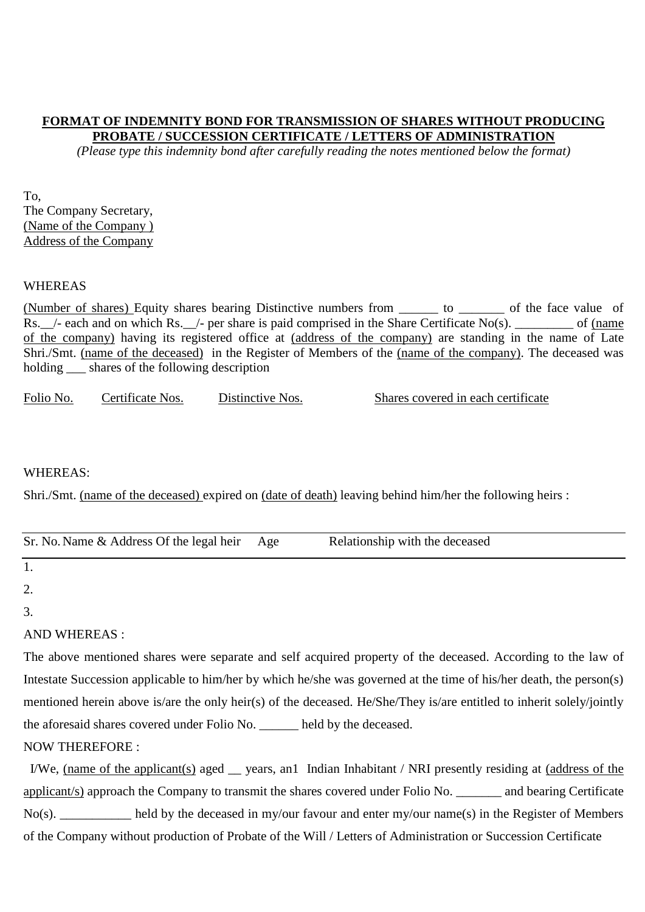## **FORMAT OF INDEMNITY BOND FOR TRANSMISSION OF SHARES WITHOUT PRODUCING PROBATE / SUCCESSION CERTIFICATE / LETTERS OF ADMINISTRATION**

*(Please type this indemnity bond after carefully reading the notes mentioned below the format)*

To, The Company Secretary, (Name of the Company ) Address of the Company

#### WHEREAS

(Number of shares) Equity shares bearing Distinctive numbers from \_\_\_\_\_\_ to \_\_\_\_\_\_\_ of the face value of  $Rs.$   $\overline{\phantom{a}}$  - each and on which Rs.  $\overline{\phantom{a}}$  - per share is paid comprised in the Share Certificate No(s).  $\overline{\phantom{a}}$  of (name of the company) having its registered office at (address of the company) are standing in the name of Late Shri./Smt. (name of the deceased) in the Register of Members of the (name of the company). The deceased was holding \_\_\_ shares of the following description

| Folio No. | Certificate Nos. | Distinctive Nos. | Shares covered in each certificate |
|-----------|------------------|------------------|------------------------------------|
|-----------|------------------|------------------|------------------------------------|

### WHEREAS:

Shri./Smt. (name of the deceased) expired on (date of death) leaving behind him/her the following heirs :

| Sr. No. Name & Address Of the legal heir Age | Relationship with the deceased |
|----------------------------------------------|--------------------------------|

1.

2.

3.

# AND WHEREAS :

The above mentioned shares were separate and self acquired property of the deceased. According to the law of Intestate Succession applicable to him/her by which he/she was governed at the time of his/her death, the person(s) mentioned herein above is/are the only heir(s) of the deceased. He/She/They is/are entitled to inherit solely/jointly the aforesaid shares covered under Folio No. \_\_\_\_\_\_ held by the deceased.

# NOW THEREFORE :

I/We, (name of the applicant(s) aged \_\_ years, an1 Indian Inhabitant / NRI presently residing at (address of the applicant/s) approach the Company to transmit the shares covered under Folio No. \_\_\_\_\_\_\_ and bearing Certificate  $No(s)$ . held by the deceased in my/our favour and enter my/our name(s) in the Register of Members of the Company without production of Probate of the Will / Letters of Administration or Succession Certificate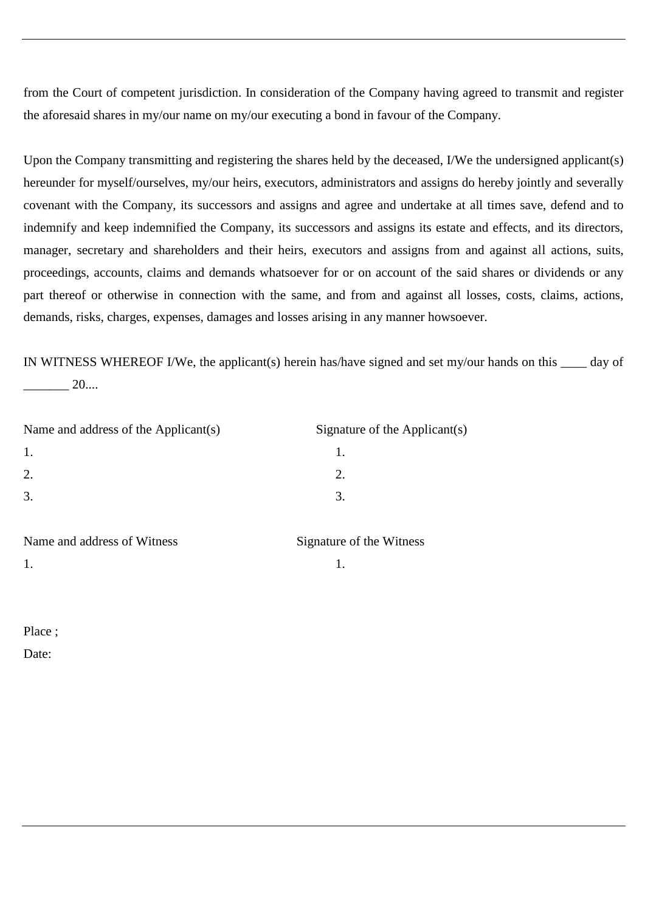from the Court of competent jurisdiction. In consideration of the Company having agreed to transmit and register the aforesaid shares in my/our name on my/our executing a bond in favour of the Company.

Upon the Company transmitting and registering the shares held by the deceased, I/We the undersigned applicant(s) hereunder for myself/ourselves, my/our heirs, executors, administrators and assigns do hereby jointly and severally covenant with the Company, its successors and assigns and agree and undertake at all times save, defend and to indemnify and keep indemnified the Company, its successors and assigns its estate and effects, and its directors, manager, secretary and shareholders and their heirs, executors and assigns from and against all actions, suits, proceedings, accounts, claims and demands whatsoever for or on account of the said shares or dividends or any part thereof or otherwise in connection with the same, and from and against all losses, costs, claims, actions, demands, risks, charges, expenses, damages and losses arising in any manner howsoever.

IN WITNESS WHEREOF I/We, the applicant(s) herein has/have signed and set my/our hands on this \_\_\_\_ day of \_\_\_\_\_\_\_ 20....

| Name and address of the Applicant(s)                                  | Signature of the Applicant(s) |
|-----------------------------------------------------------------------|-------------------------------|
| 1.                                                                    |                               |
| 2.                                                                    |                               |
| 3.                                                                    | 3.                            |
| $\mathbf{r}$<br>$\mathbf{1}$ $\mathbf{1}$ $\mathbf{1}$<br>$C = T + T$ |                               |

| Name and address of Witness | Signature |
|-----------------------------|-----------|
|                             |           |

Signature of the Witness

Place ;

Date: